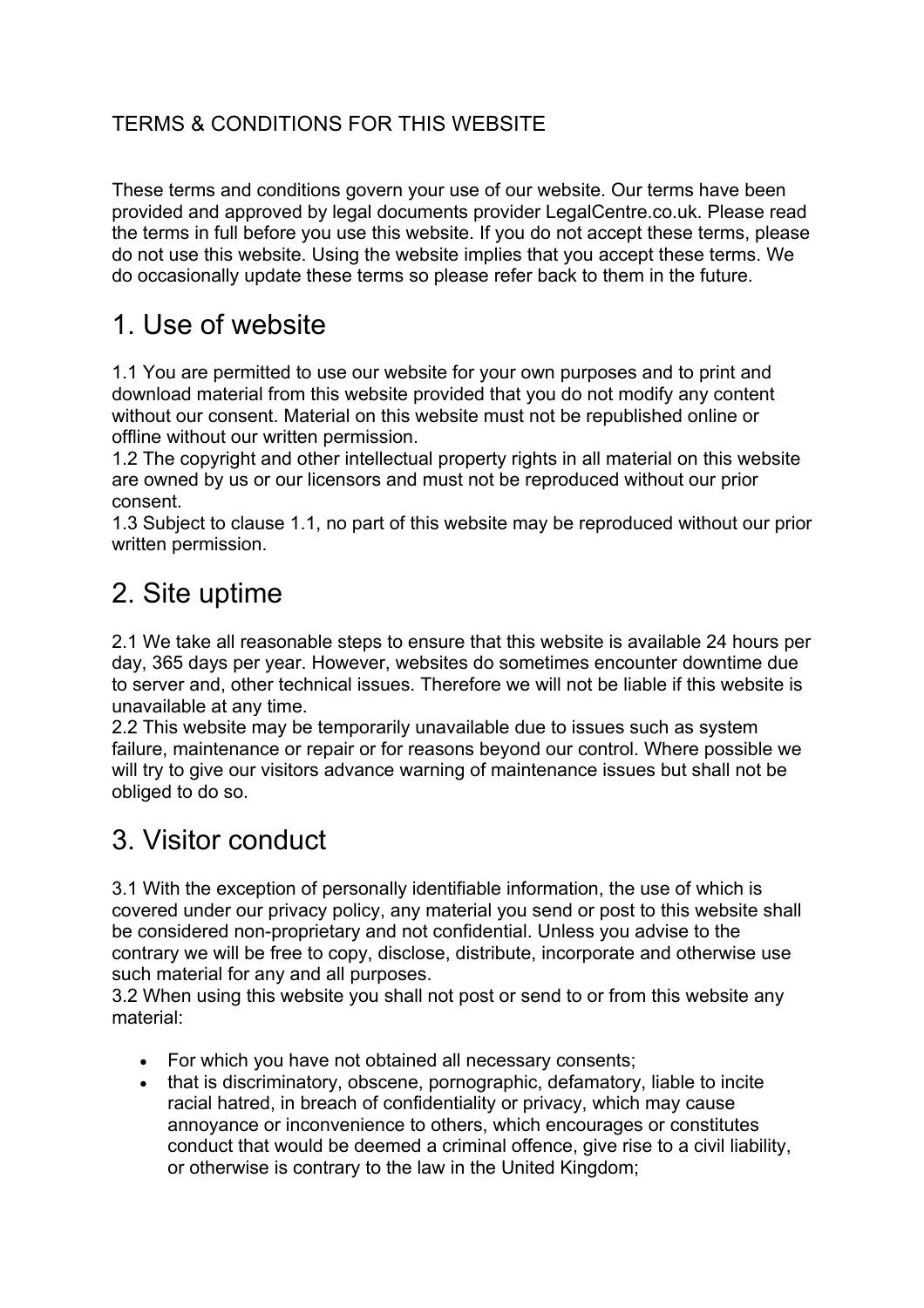#### TERMS & CONDITIONS FOR THIS WEBSITE

These terms and conditions govern your use of our website. Our terms have been provided and approved by legal documents provider LegalCentre.co.uk. Please read the terms in full before you use this website. If you do not accept these terms, please do not use this website. Using the website implies that you accept these terms. We do occasionally update these terms so please refer back to them in the future.

### 1. Use of website

1.1 You are permitted to use our website for your own purposes and to print and download material from this website provided that you do not modify any content without our consent. Material on this website must not be republished online or offline without our written permission.

1.2 The copyright and other intellectual property rights in all material on this website are owned by us or our licensors and must not be reproduced without our prior consent.

1.3 Subject to clause 1.1, no part of this website may be reproduced without our prior written permission.

### 2. Site uptime

2.1 We take all reasonable steps to ensure that this website is available 24 hours per day, 365 days per year. However, websites do sometimes encounter downtime due to server and, other technical issues. Therefore we will not be liable if this website is unavailable at any time.

2.2 This website may be temporarily unavailable due to issues such as system failure, maintenance or repair or for reasons beyond our control. Where possible we will try to give our visitors advance warning of maintenance issues but shall not be obliged to do so.

# 3. Visitor conduct

3.1 With the exception of personally identifiable information, the use of which is covered under our privacy policy, any material you send or post to this website shall be considered non-proprietary and not confidential. Unless you advise to the contrary we will be free to copy, disclose, distribute, incorporate and otherwise use such material for any and all purposes.

3.2 When using this website you shall not post or send to or from this website any material:

- For which you have not obtained all necessary consents;
- that is discriminatory, obscene, pornographic, defamatory, liable to incite racial hatred, in breach of confidentiality or privacy, which may cause annoyance or inconvenience to others, which encourages or constitutes conduct that would be deemed a criminal offence, give rise to a civil liability, or otherwise is contrary to the law in the United Kingdom;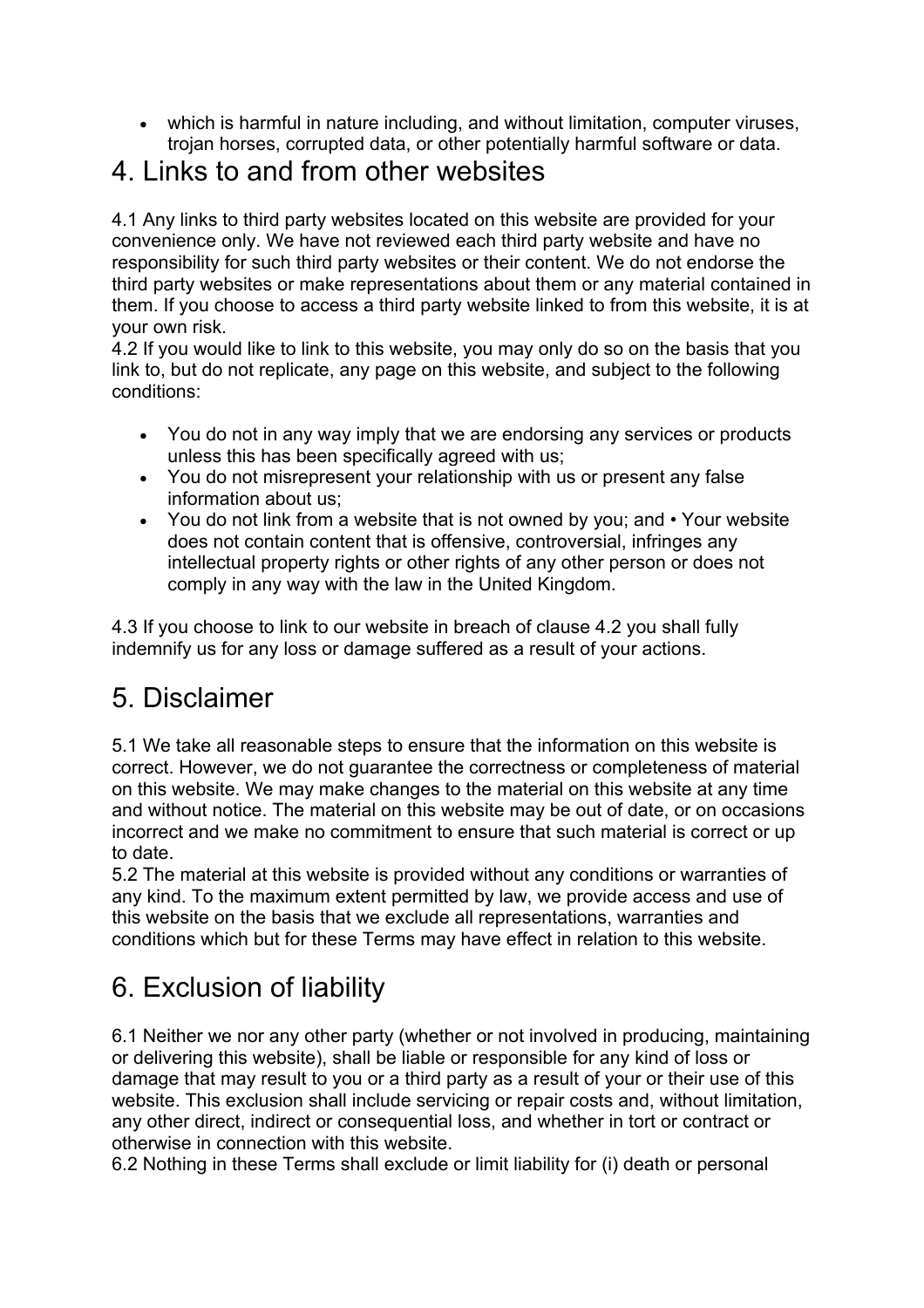• which is harmful in nature including, and without limitation, computer viruses, trojan horses, corrupted data, or other potentially harmful software or data.

### 4. Links to and from other websites

4.1 Any links to third party websites located on this website are provided for your convenience only. We have not reviewed each third party website and have no responsibility for such third party websites or their content. We do not endorse the third party websites or make representations about them or any material contained in them. If you choose to access a third party website linked to from this website, it is at your own risk.

4.2 If you would like to link to this website, you may only do so on the basis that you link to, but do not replicate, any page on this website, and subject to the following conditions:

- You do not in any way imply that we are endorsing any services or products unless this has been specifically agreed with us;
- You do not misrepresent your relationship with us or present any false information about us;
- You do not link from a website that is not owned by you; and Your website does not contain content that is offensive, controversial, infringes any intellectual property rights or other rights of any other person or does not comply in any way with the law in the United Kingdom.

4.3 If you choose to link to our website in breach of clause 4.2 you shall fully indemnify us for any loss or damage suffered as a result of your actions.

# 5. Disclaimer

5.1 We take all reasonable steps to ensure that the information on this website is correct. However, we do not guarantee the correctness or completeness of material on this website. We may make changes to the material on this website at any time and without notice. The material on this website may be out of date, or on occasions incorrect and we make no commitment to ensure that such material is correct or up to date.

5.2 The material at this website is provided without any conditions or warranties of any kind. To the maximum extent permitted by law, we provide access and use of this website on the basis that we exclude all representations, warranties and conditions which but for these Terms may have effect in relation to this website.

# 6. Exclusion of liability

6.1 Neither we nor any other party (whether or not involved in producing, maintaining or delivering this website), shall be liable or responsible for any kind of loss or damage that may result to you or a third party as a result of your or their use of this website. This exclusion shall include servicing or repair costs and, without limitation, any other direct, indirect or consequential loss, and whether in tort or contract or otherwise in connection with this website.

6.2 Nothing in these Terms shall exclude or limit liability for (i) death or personal